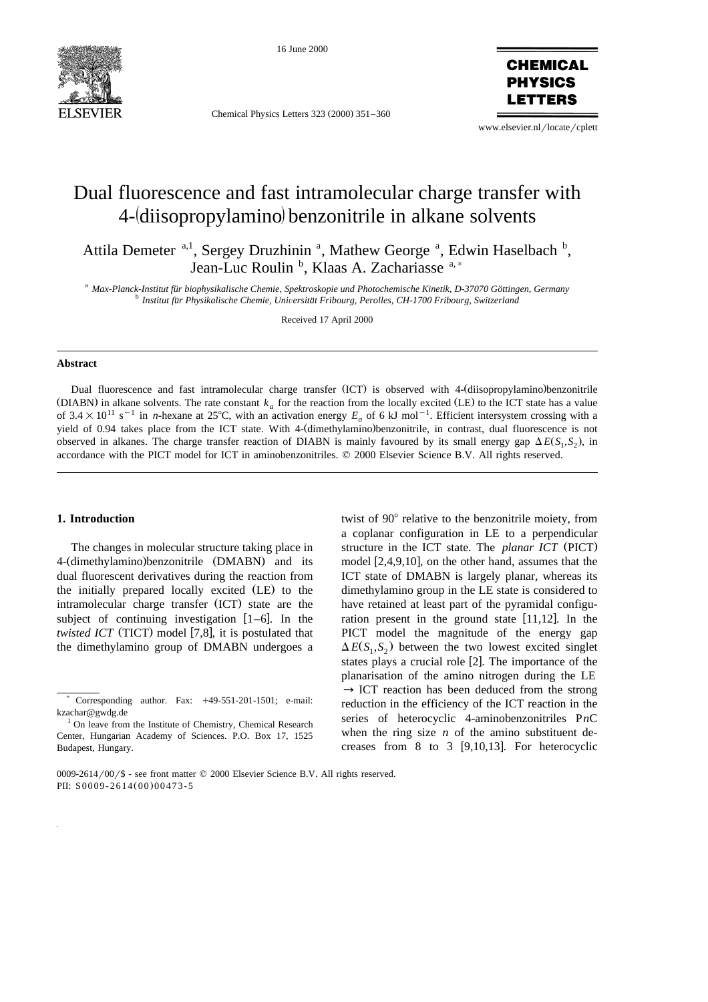

16 June 2000

Chemical Physics Letters 323 (2000) 351-360

**CHEMICAL PHYSICS** FTTFRS

www.elsevier.nl/locate/cplett

# Dual fluorescence and fast intramolecular charge transfer with 4- diisopropylamino benzonitrile in alkane solvents

Attila Demeter <sup>a, 1</sup>, Sergey Druzhinin<sup>a</sup>, Mathew George<sup>a</sup>, Edwin Haselbach<sup>b</sup>, Jean-Luc Roulin<sup>b</sup>, Klaas A. Zachariasse<sup>a,\*</sup>

<sup>a</sup> Max-Planck-Institut für biophysikalische Chemie, Spektroskopie und Photochemische Kinetik, D-37070 Göttingen, Germany<br><sup>b</sup> Institut für Physikalische Chemie, Universität Fribourg, Perolles, CH-1700 Fribourg, Switzerland

Received 17 April 2000

#### **Abstract**

Dual fluorescence and fast intramolecular charge transfer (ICT) is observed with 4-(diisopropylamino)benzonitrile (DIABN) in alkane solvents. The rate constant  $k_a$  for the reaction from the locally excited (LE) to the ICT state has a value of  $3.4\times10^{11}$  s<sup>-1</sup> in *n*-hexane at 25°C, with an activation energy *E<sub>a</sub>* of 6 kJ mol<sup>-1</sup>. Efficient intersystem crossing with a yield of 0.94 takes place from the ICT state. With 4- (dimethylamino) benzonitrile, in contrast, dual fluorescence is not observed in alkanes. The charge transfer reaction of DIABN is mainly favoured by its small energy gap  $\Delta E(S_1, S_2)$ , in accordance with the PICT model for ICT in aminobenzonitriles.  $© 2000$  Elsevier Science B.V. All rights reserved.

#### **1. Introduction**

The changes in molecular structure taking place in 4- (dimethylamino) benzonitrile (DMABN) and its dual fluorescent derivatives during the reaction from the initially prepared locally excited (LE) to the intramolecular charge transfer (ICT) state are the subject of continuing investigation  $[1-6]$ . In the *twisted ICT* (TICT) model [7,8], it is postulated that the dimethylamino group of DMABN undergoes a

twist of 90 $^{\circ}$  relative to the benzonitrile moiety, from a coplanar configuration in LE to a perpendicular structure in the ICT state. The *planar ICT* (PICT) model  $[2,4,9,10]$ , on the other hand, assumes that the ICT state of DMABN is largely planar, whereas its dimethylamino group in the LE state is considered to have retained at least part of the pyramidal configuration present in the ground state  $[11,12]$ . In the PICT model the magnitude of the energy gap  $\Delta E(S_1, S_2)$  between the two lowest excited singlet states plays a crucial role [2]. The importance of the planarisation of the amino nitrogen during the LE  $\rightarrow$  ICT reaction has been deduced from the strong reduction in the efficiency of the ICT reaction in the series of heterocyclic 4-aminobenzonitriles P*n*C when the ring size  $n$  of the amino substituent decreases from 8 to 3  $[9,10,13]$ . For heterocyclic

Corresponding author. Fax:  $+49-551-201-1501$ ; e-mail:

kzachar@gwdg.de  $10n$  leave from the Institute of Chemistry, Chemical Research Center, Hungarian Academy of Sciences. P.O. Box 17, 1525 Budapest, Hungary.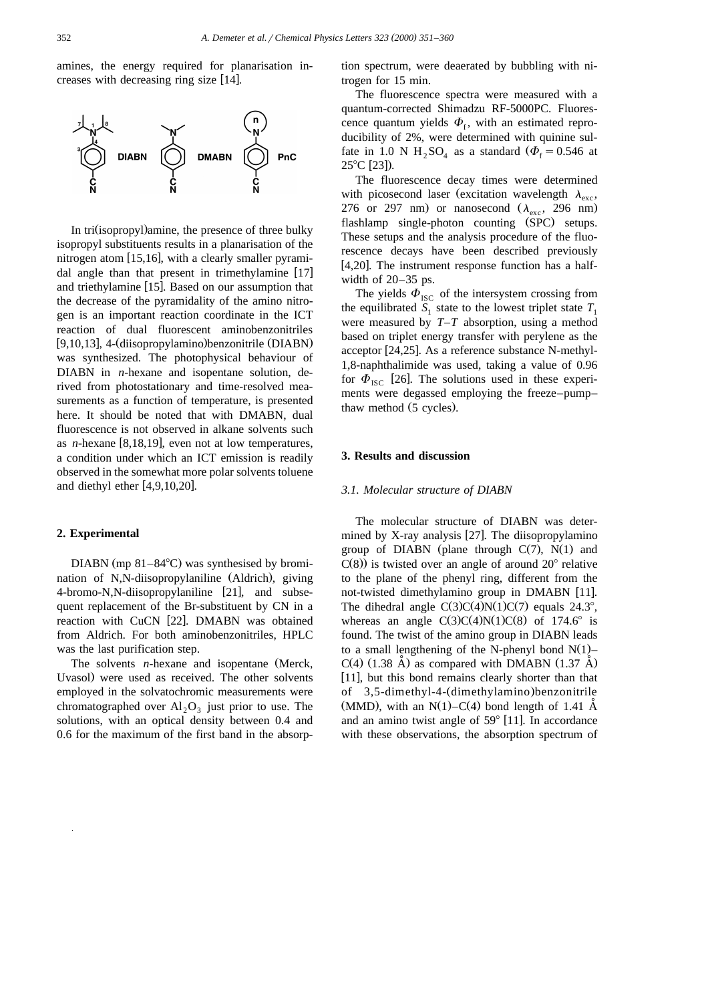amines, the energy required for planarisation increases with decreasing ring size [14].



In tri (isopropyl) amine, the presence of three bulky isopropyl substituents results in a planarisation of the nitrogen atom  $[15,16]$ , with a clearly smaller pyramidal angle than that present in trimethylamine  $[17]$ and triethylamine  $[15]$ . Based on our assumption that the decrease of the pyramidality of the amino nitrogen is an important reaction coordinate in the ICT reaction of dual fluorescent aminobenzonitriles [9,10,13], 4- (diisopropylamino) benzonitrile (DIABN) was synthesized. The photophysical behaviour of DIABN in *n*-hexane and isopentane solution, derived from photostationary and time-resolved measurements as a function of temperature, is presented here. It should be noted that with DMABN, dual fluorescence is not observed in alkane solvents such as *n*-hexane  $[8,18,19]$ , even not at low temperatures, a condition under which an ICT emission is readily observed in the somewhat more polar solvents toluene and diethyl ether  $[4,9,10,20]$ .

#### **2. Experimental**

DIABN (mp  $81-84^{\circ}$ C) was synthesised by bromination of N,N-diisopropylaniline (Aldrich), giving 4-bromo-N,N-diisopropylaniline [21], and subsequent replacement of the Br-substituent by CN in a reaction with CuCN [22]. DMABN was obtained from Aldrich. For both aminobenzonitriles, HPLC was the last purification step.

The solvents *n*-hexane and isopentane (Merck, Uvasol) were used as received. The other solvents employed in the solvatochromic measurements were chromatographed over  $Al_2O_3$  just prior to use. The solutions, with an optical density between 0.4 and 0.6 for the maximum of the first band in the absorption spectrum, were deaerated by bubbling with nitrogen for 15 min.

The fluorescence spectra were measured with a quantum-corrected Shimadzu RF-5000PC. Fluorescence quantum yields  $\Phi_t$ , with an estimated reproducibility of 2%, were determined with quinine sulfate in 1.0 N H<sub>2</sub>SO<sub>4</sub> as a standard ( $\Phi$ <sub>f</sub> = 0.546 at  $25^{\circ}$ C [23]).

The fluorescence decay times were determined with picosecond laser (excitation wavelength  $\lambda_{\text{esc}}$ , 276 or 297 nm) or nanosecond  $(\lambda_{\rm exc}, 296 \text{ nm})$ flashlamp single-photon counting (SPC) setups. These setups and the analysis procedure of the fluorescence decays have been described previously [4,20]. The instrument response function has a halfwidth of 20–35 ps.

The yields  $\Phi_{\text{ISC}}$  of the intersystem crossing from the equilibrated  $S_1$  state to the lowest triplet state  $T_1$ were measured by *T*–*T* absorption, using a method based on triplet energy transfer with perylene as the acceptor  $[24,25]$ . As a reference substance N-methyl-1,8-naphthalimide was used, taking a value of 0.96 for  $\Phi_{\text{ISC}}$  [26]. The solutions used in these experiments were degassed employing the freeze–pump– thaw method (5 cycles).

#### **3. Results and discussion**

#### *3.1. Molecular structure of DIABN*

The molecular structure of DIABN was determined by X-ray analysis  $[27]$ . The diisopropylamino group of DIABN (plane through  $C(7)$ , N(1) and  $C(8)$ ) is twisted over an angle of around  $20^{\circ}$  relative to the plane of the phenyl ring, different from the not-twisted dimethylamino group in DMABN [11]. The dihedral angle  $C(3)C(4)N(1)C(7)$  equals 24.3°, whereas an angle  $C(3)C(4)N(1)C(8)$  of 174.6° is found. The twist of the amino group in DIABN leads to a small lengthening of the N-phenyl bond  $N(1)$ –  $C(4)$  (1.38 Å) as compared with DMABN (1.37 Å) [11], but this bond remains clearly shorter than that of 3,5-dimethyl-4- (dimethylamino) benzonitrile (MMD), with an  $N(1) - C(4)$  bond length of 1.41 Å and an amino twist angle of  $59^{\circ}$  [11]. In accordance with these observations, the absorption spectrum of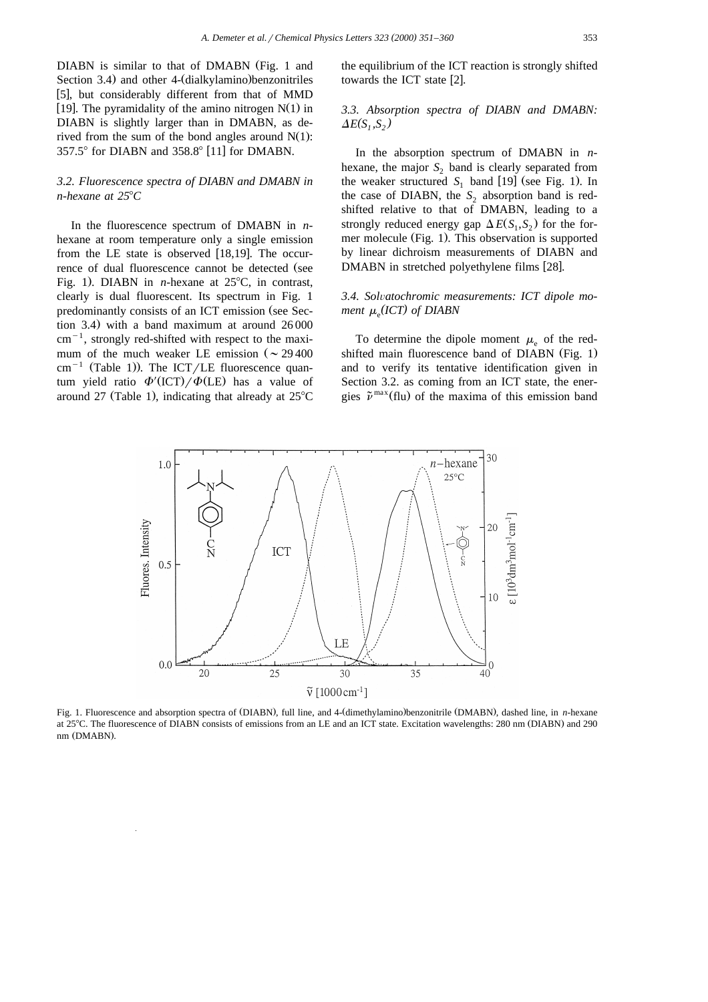DIABN is similar to that of DMABN (Fig. 1 and Section 3.4) and other 4- (dialkylamino) benzonitriles [5], but considerably different from that of MMD  $\left[19\right]$ . The pyramidality of the amino nitrogen N(1) in DIABN is slightly larger than in DMABN, as derived from the sum of the bond angles around  $N(1)$ :  $357.5^{\circ}$  for DIABN and  $358.8^{\circ}$  [11] for DMABN.

# *3.2. Fluorescence spectra of DIABN and DMABN in n-hexane at 25°C*

In the fluorescence spectrum of DMABN in *n*hexane at room temperature only a single emission from the LE state is observed  $[18,19]$ . The occurrence of dual fluorescence cannot be detected (see Fig. 1). DIABN in *n*-hexane at  $25^{\circ}$ C, in contrast, clearly is dual fluorescent. Its spectrum in Fig. 1 predominantly consists of an ICT emission (see Section 3.4) with a band maximum at around  $26000$  $cm^{-1}$ , strongly red-shifted with respect to the maximum of the much weaker LE emission ( $\sim$  29 400 cm<sup>-1</sup> (Table 1)). The ICT/LE fluorescence quantum yield ratio  $\Phi'$  (ICT)/ $\Phi$  (LE) has a value of around 27 (Table 1), indicating that already at  $25^{\circ}$ C

the equilibrium of the ICT reaction is strongly shifted towards the ICT state [2].

# *3.3. Absorption spectra of DIABN and DMABN:*  $\Delta E(S_i, S_2)$

In the absorption spectrum of DMABN in *n*hexane, the major  $S<sub>2</sub>$  band is clearly separated from the weaker structured  $S_1$  band [19] (see Fig. 1). In the case of DIABN, the  $S_2$  absorption band is redshifted relative to that of DMABN, leading to a strongly reduced energy gap  $\Delta E(S_1, S_2)$  for the former molecule (Fig. 1). This observation is supported by linear dichroism measurements of DIABN and DMABN in stretched polyethylene films [28].

# 3.4. Solvatochromic measurements: ICT dipole mo*ment* <sup>m</sup><sup>e</sup> *( ) ICT of DIABN*

To determine the dipole moment  $\mu_{\rm e}$  of the redshifted main fluorescence band of DIABN  $(Fig. 1)$ and to verify its tentative identification given in Section 3.2. as coming from an ICT state, the ener gies  $\tilde{\nu}^{\max}$  (flu) of the maxima of this emission band



Fig. 1. Fluorescence and absorption spectra of (DIABN), full line, and 4-(dimethylamino)benzonitrile (DMABN), dashed line, in n-hexane at 25°C. The fluorescence of DIABN consists of emissions from an LE and an ICT state. Excitation wavelengths: 280 nm (DIABN) and 290 nm (DMABN).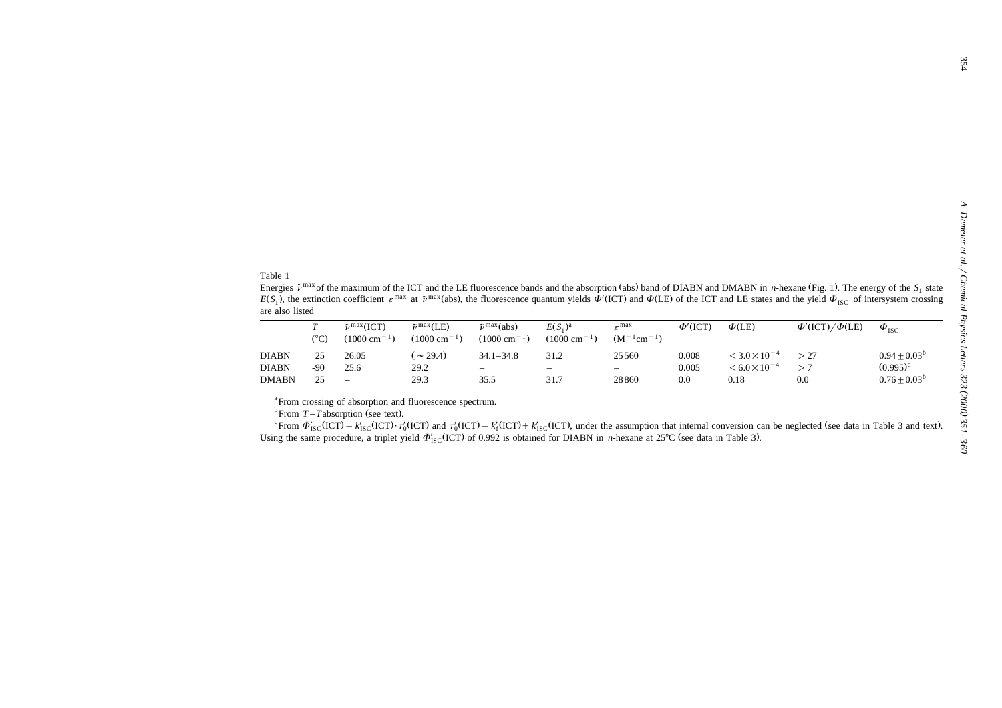| Table 1<br>are also listed   |                      |                                                              |                                                       |                                                              |                                        |                                           |                     |                                                             | Energies $\tilde{\nu}^{\max}$ of the maximum of the ICT and the LE fluorescence bands and the absorption (abs) band of DIABN and DMABN in <i>n</i> -hexane (Fig. 1). The energy of the $S_1$ state<br>$E(S_1)$ , the extinction coefficient $\varepsilon^{\text{max}}$ at $\tilde{\nu}^{\text{max}}$ (abs), the fluorescence quantum yields $\Phi'(ICT)$ and $\Phi(LE)$ of the ICT and LE states and the yield $\Phi_{\text{ISC}}$ of intersystem crossing |                                |
|------------------------------|----------------------|--------------------------------------------------------------|-------------------------------------------------------|--------------------------------------------------------------|----------------------------------------|-------------------------------------------|---------------------|-------------------------------------------------------------|------------------------------------------------------------------------------------------------------------------------------------------------------------------------------------------------------------------------------------------------------------------------------------------------------------------------------------------------------------------------------------------------------------------------------------------------------------|--------------------------------|
|                              | T<br>$({}^{\circ}C)$ | $\tilde{\nu}^{\max}(\text{ICT})$<br>$(1000 \text{ cm}^{-1})$ | $\tilde{\nu}^{\max}$ (LE)<br>$(1000 \text{ cm}^{-1})$ | $\tilde{\nu}^{\max}(\text{abs})$<br>$(1000 \text{ cm}^{-1})$ | $E(S_1)^a$<br>$(1000 \text{ cm}^{-1})$ | $\varepsilon^{\max}$<br>$(M^{-1}cm^{-1})$ | $\Phi'(\text{ICT})$ | $\Phi$ (LE)                                                 | $\Phi'(\text{ICT})/\Phi(\text{LE})$                                                                                                                                                                                                                                                                                                                                                                                                                        | $\Phi_{\text{ISC}}$            |
| <b>DIABN</b><br><b>DIABN</b> | 25<br>$-90$          | 26.05<br>25.6                                                | $(\sim 29.4)$<br>29.2                                 | $34.1 - 34.8$                                                | 31.2                                   | 25560                                     | 0.008<br>0.005      | $<$ 3.0 $\times$ 10 <sup>-4</sup><br>$< 6.0 \times 10^{-4}$ | > 27<br>>7                                                                                                                                                                                                                                                                                                                                                                                                                                                 | $0.94 + 0.03^b$<br>$(0.995)^c$ |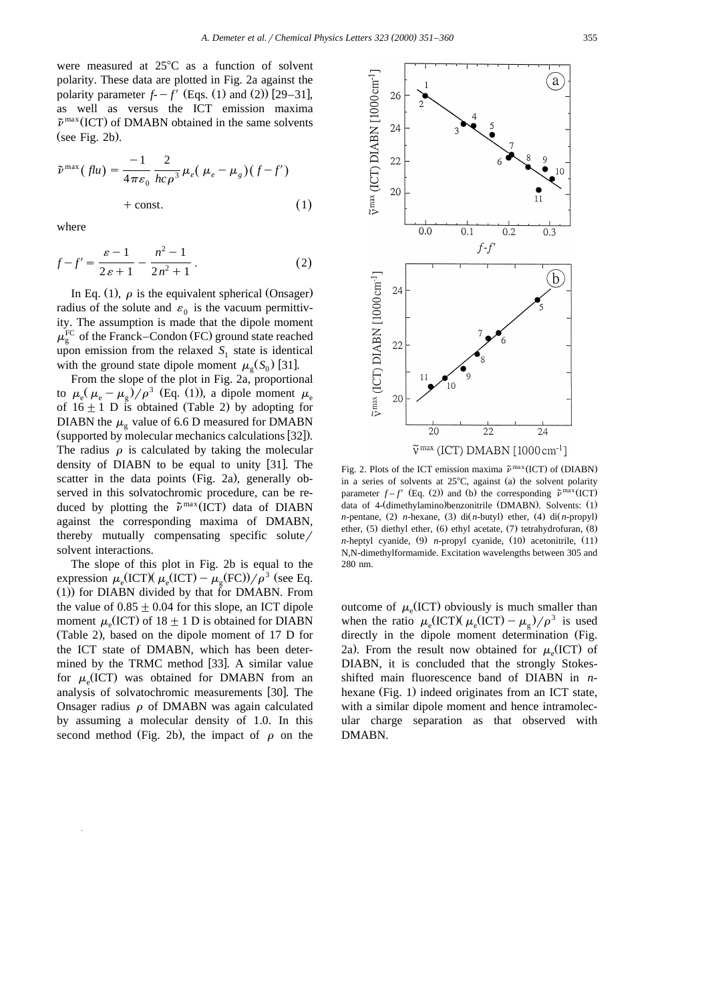were measured at  $25^{\circ}$ C as a function of solvent polarity. These data are plotted in Fig. 2a against the polarity parameter  $f - f'$  (Eqs. 1) and (2)) [29–31], as well as versus the ICT emission maxima  $\tilde{\nu}^{\max}$ (ICT) of DMABN obtained in the same solvents  $(see Fig. 2b).$ 

$$
\tilde{\nu}^{\max}(flu) = \frac{-1}{4\pi\varepsilon_0} \frac{2}{hc\rho^3} \mu_e(\mu_e - \mu_g)(f - f') + \text{const.} \tag{1}
$$

where

$$
f - f' = \frac{\varepsilon - 1}{2\varepsilon + 1} - \frac{n^2 - 1}{2n^2 + 1}.
$$
 (2)

In Eq. (1),  $\rho$  is the equivalent spherical (Onsager) radius of the solute and  $\varepsilon_0$  is the vacuum permittivity. The assumption is made that the dipole moment  $\mu_{\rm g}^{\rm FC}$  of the Franck–Condon (FC) ground state reached upon emission from the relaxed  $S_1$  state is identical with the ground state dipole moment  $\mu_{\varrho}(S_0)$  [31].

From the slope of the plot in Fig. 2a, proportional to  $\mu_{\rm e}(\mu_{\rm e}-\mu_{\rm o})/\rho^3$  (Eq. (1)), a dipole moment  $\mu_{\rm e}$ of  $16 \pm 1$  D is obtained (Table 2) by adopting for DIABN the  $\mu_{\rm g}$  value of 6.6 D measured for DMABN (supported by molecular mechanics calculations [32]). The radius  $\rho$  is calculated by taking the molecular density of DIABN to be equal to unity  $[31]$ . The scatter in the data points (Fig. 2a), generally observed in this solvatochromic procedure, can be re duced by plotting the  $\tilde{\nu}^{\max}$  (ICT) data of DIABN against the corresponding maxima of DMABN, thereby mutually compensating specific solute  $/$ solvent interactions.

The slope of this plot in Fig. 2b is equal to the expression  $\mu_{\rm g}$ (ICT)( $\mu_{\rm g}$ (ICT) –  $\mu_{\rm g}$ (FC))/ $\rho^3$  (see Eq.  $(1)$ ) for DIABN divided by that for DMABN. From the value of  $0.85 \pm 0.04$  for this slope, an ICT dipole moment  $\mu_e$ (ICT) of 18  $\pm$  1 D is obtained for DIABN (Table 2), based on the dipole moment of 17 D for the ICT state of DMABN, which has been determined by the TRMC method [33]. A similar value for  $\mu_e$ (ICT) was obtained for DMABN from an analysis of solvatochromic measurements [30]. The Onsager radius  $\rho$  of DMABN was again calculated by assuming a molecular density of 1.0. In this second method (Fig. 2b), the impact of  $\rho$  on the



in a series of solvents at 25°C, against (a) the solvent polarity parameter  $f - f'$  (Eq. (2)) and (b) the corresponding  $\tilde{\nu}^{\max} (ICT)$ data of 4- (dimethylamino) benzonitrile (DMABN). Solvents: (1) *n*-pentane, (2) *n*-hexane, (3) di(*n*-butyl) ether, (4) di(*n*-propyl) ether,  $(5)$  diethyl ether,  $(6)$  ethyl acetate,  $(7)$  tetrahydrofuran,  $(8)$ *n*-heptyl cyanide, (9) *n*-propyl cyanide, (10) acetonitrile, (11) N,N-dimethylformamide. Excitation wavelengths between 305 and 280 nm.

outcome of  $\mu_{\rm e}$ (ICT) obviously is much smaller than when the ratio  $\mu_e (ICT) (\mu_e (ICT) - \mu_e)/\rho^3$  is used directly in the dipole moment determination (Fig. 2a). From the result now obtained for  $\mu_e(\text{ICT})$  of DIABN, it is concluded that the strongly Stokesshifted main fluorescence band of DIABN in *n*hexane (Fig. 1) indeed originates from an ICT state, with a similar dipole moment and hence intramolecular charge separation as that observed with DMABN.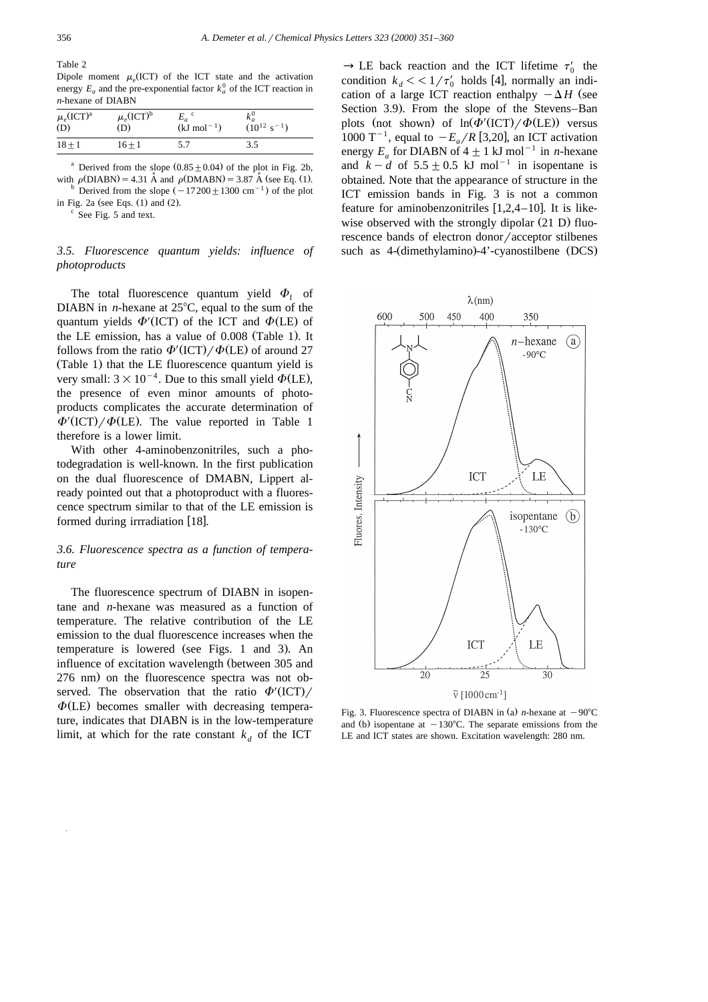Table 2

Dipole moment  $\mu_e$ (ICT) of the ICT state and the activation energy  $E_a$  and the pre-exponential factor  $k_a^0$  of the ICT reaction in *n*-hexane of DIABN

| $\mu_e(\text{ICT})^{\text{a}}$<br>(D) | $\mu_e(\text{ICT})^{\text{b}}$<br>(D) | $E_a$ <sup>c</sup><br>$(kJ \text{ mol}^{-1})$ | $(10^{12} \text{ s}^{-1})$ |  |
|---------------------------------------|---------------------------------------|-----------------------------------------------|----------------------------|--|
| $18 + 1$                              | 16+1                                  | 5.7                                           | 3.5                        |  |

<sup>a</sup> Derived from the slope  $(0.85 \pm 0.04)$  of the plot in Fig. 2b, with  $\rho(DIABN) = 4.31 \text{ Å}$  and  $\rho(DMABN) = 3.87 \text{ Å}$  (see Eq. (1). b Derived from the slope  $(-17200 \pm 1300 \text{ cm}^{-1})$  of the plot

in Fig. 2a (see Eqs.  $(1)$  and  $(2)$ .  $\degree$  See Fig. 5 and text.

## *3.5. Fluorescence quantum yields: influence of photoproducts*

The total fluorescence quantum yield  $\Phi_f$  of DIABN in *n*-hexane at 25<sup>o</sup>C, equal to the sum of the quantum yields  $\Phi'$  (ICT) of the ICT and  $\Phi$  (LE) of the LE emission, has a value of 0.008 (Table 1). It follows from the ratio  $\Phi'$  (ICT)  $\phi$  (LE) of around 27 (Table 1) that the LE fluorescence quantum yield is very small:  $3 \times 10^{-4}$ . Due to this small yield  $\Phi$ (LE), the presence of even minor amounts of photoproducts complicates the accurate determination of  $\Phi'$ (ICT)/ $\Phi$ (LE). The value reported in Table 1 therefore is a lower limit.

With other 4-aminobenzonitriles, such a photodegradation is well-known. In the first publication on the dual fluorescence of DMABN, Lippert already pointed out that a photoproduct with a fluorescence spectrum similar to that of the LE emission is formed during irrradiation [18].

## *3.6. Fluorescence spectra as a function of temperature*

The fluorescence spectrum of DIABN in isopentane and *n*-hexane was measured as a function of temperature. The relative contribution of the LE emission to the dual fluorescence increases when the temperature is lowered (see Figs. 1 and 3). An influence of excitation wavelength (between 305 and 276 nm) on the fluorescence spectra was not observed. The observation that the ratio  $\Phi'$  (ICT)/  $\Phi$ (LE) becomes smaller with decreasing temperature, indicates that DIABN is in the low-temperature limit, at which for the rate constant  $k_d$  of the ICT

 $\rightarrow$  LE back reaction and the ICT lifetime  $\tau$ condition  $k_d < 1/\tau'_0$  holds [4], normally an indication of a large ICT reaction enthalpy  $-\Delta H$  (see Section 3.9). From the slope of the Stevens–Ban plots (not shown) of  $\ln(\Phi'(\text{ICT}) / \Phi(\text{LE}))$  versus 1000 T<sup>-1</sup>, equal to  $-E_a/R$  [3,20], an ICT activation energy  $E_a$  for DIABN of  $4 \pm 1$  kJ mol<sup>-1</sup> in *n*-hexane and  $k - d$  of  $5.5 \pm 0.5$  kJ mol<sup>-1</sup> in isopentane is obtained. Note that the appearance of structure in the ICT emission bands in Fig. 3 is not a common feature for aminobenzonitriles  $[1,2,4-10]$ . It is likewise observed with the strongly dipolar  $(21 D)$  fluorescence bands of electron donor/acceptor stilbenes such as 4- (dimethylamino)-4'-cyanostilbene (DCS)



Fig. 3. Fluorescence spectra of DIABN in (a) *n*-hexane at  $-90^{\circ}$ C and (b) isopentane at  $-130^{\circ}$ C. The separate emissions from the LE and ICT states are shown. Excitation wavelength: 280 nm.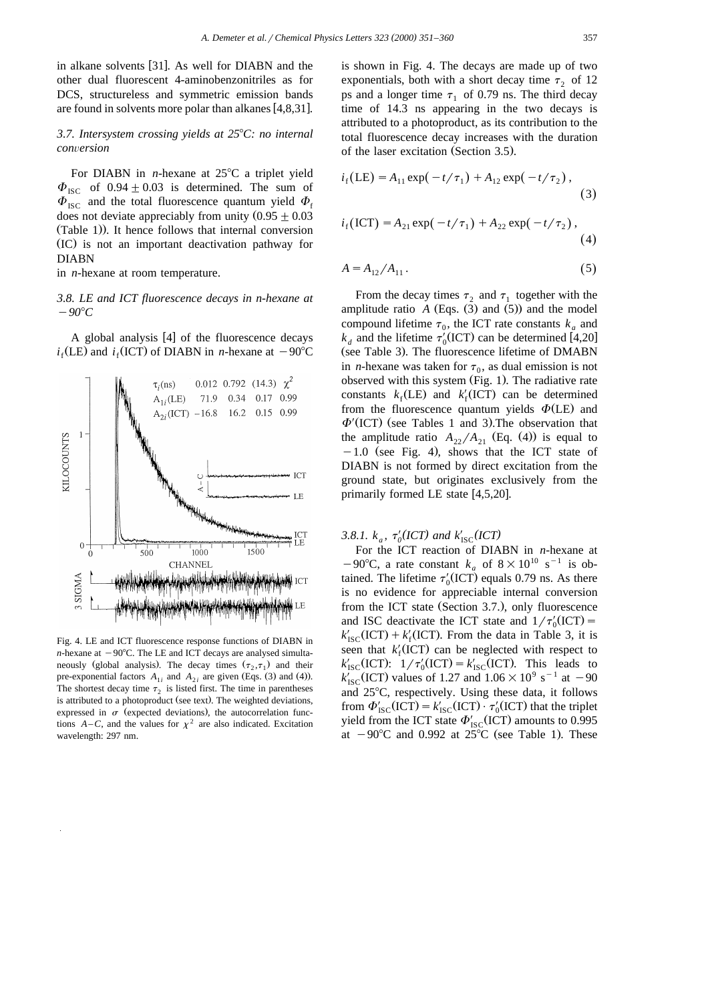in alkane solvents [31]. As well for DIABN and the other dual fluorescent 4-aminobenzonitriles as for DCS, structureless and symmetric emission bands are found in solvents more polar than alkanes  $[4,8,31]$ .

# *3.7. Intersystem crossing yields at 25*8*C: no internal con*Õ*ersion*

For DIABN in *n*-hexane at  $25^{\circ}$ C a triplet yield  $\Phi_{\text{ISC}}$  of 0.94  $\pm$  0.03 is determined. The sum of  $\Phi_{\text{ISC}}$  and the total fluorescence quantum yield  $\Phi_{\text{f}}$ does not deviate appreciably from unity  $(0.95 \pm 0.03)$  $(Table 1)$ ). It hence follows that internal conversion (IC) is not an important deactivation pathway for DIABN

in *n*-hexane at room temperature.

## *3.8. LE and ICT fluorescence decays in n-hexane at*  $-90^{\circ}C$

A global analysis  $[4]$  of the fluorescence decays  $i_f$ (LE) and  $i_f$ (ICT) of DIABN in *n*-hexane at  $-90^{\circ}$ C



Fig. 4. LE and ICT fluorescence response functions of DIABN in *n*-hexane at  $-90^{\circ}$ C. The LE and ICT decays are analysed simultaneously (global analysis). The decay times  $(\tau_2, \tau_1)$  and their pre-exponential factors  $A_{1i}$  and  $A_{2i}$  are given (Eqs. (3) and (4)). The shortest decay time  $\tau_2$  is listed first. The time in parentheses is attributed to a photoproduct (see text). The weighted deviations, expressed in  $\sigma$  (expected deviations), the autocorrelation functions  $A - C$ , and the values for  $\chi^2$  are also indicated. Excitation wavelength: 297 nm.

is shown in Fig. 4. The decays are made up of two exponentials, both with a short decay time  $\tau$ , of 12 ps and a longer time  $\tau_1$  of 0.79 ns. The third decay time of 14.3 ns appearing in the two decays is attributed to a photoproduct, as its contribution to the total fluorescence decay increases with the duration of the laser excitation (Section 3.5).

$$
i_{\rm f}(\text{LE}) = A_{11} \exp(-t/\tau_1) + A_{12} \exp(-t/\tau_2), \tag{3}
$$

$$
i_{\rm f}(\text{ICT}) = A_{21} \exp(-t/\tau_1) + A_{22} \exp(-t/\tau_2), \tag{4}
$$

$$
A = A_{12} / A_{11} \,. \tag{5}
$$

From the decay times  $\tau_2$  and  $\tau_1$  together with the amplitude ratio  $A$  (Eqs.  $(3)$  and  $(5)$ ) and the model compound lifetime  $\tau_0$ , the ICT rate constants  $k_a$  and  $k_d$  and the lifetime  $\tau'_0$ (ICT) can be determined [4,20] (see Table 3). The fluorescence lifetime of DMABN in *n*-hexane was taken for  $\tau_0$ , as dual emission is not observed with this system (Fig. 1). The radiative rate constants  $k_f$ (LE) and  $k'_{f}$ (ICT) can be determined from the fluorescence quantum yields  $\Phi$ (LE) and  $\Phi'$  (ICT) (see Tables 1 and 3). The observation that the amplitude ratio  $A_{22}/A_{21}$  (Eq. (4)) is equal to  $-1.0$  (see Fig. 4), shows that the ICT state of DIABN is not formed by direct excitation from the ground state, but originates exclusively from the primarily formed LE state  $[4,5,20]$ .

3.8.1.  $k_a$ ,  $\tau'_0(ICT)$  and  $k'_{\text{ISC}}(ICT)$ 

For the ICT reaction of DIABN in *n*-hexane at  $-90^{\circ}$ C, a rate constant *k<sub>a</sub>* of  $8 \times 10^{10}$  s<sup>-1</sup> is obtained. The lifetime  $\tau'_0$ (ICT) equals 0.79 ns. As there is no evidence for appreciable internal conversion from the ICT state (Section 3.7.), only fluorescence and ISC deactivate the ICT state and  $1/\tau'_0(\text{ICT}) = k'_{\text{ISC}}(\text{ICT}) + k'_f(\text{ICT})$ . From the data in Table 3, it is seen that  $k'_f(\text{ICT})$  can be neglected with respect to  $k'_{\text{ISC}}(\text{ICT}): 1/\tau'_0(\text{ICT}) = k'_{\text{ISC}}(\text{ICT}).$  This leads to  $k'_{\text{ISC}}$ (ICT) values of 1.27 and  $1.06 \times 10^9 \text{ s}^{-1}$  at  $-90$ and  $25^{\circ}$ C, respectively. Using these data, it follows from  $\Phi'_{\text{ISC}}(\text{ICT}) = k'_{\text{ISC}}(\text{ICT}) \cdot \tau'_0(\text{ICT})$  that the triplet yield from the ICT state  $\Phi'_{\text{ISC}}(\text{ICT})$  amounts to 0.995 at  $-90^{\circ}$ C and 0.992 at 25°C (see Table 1). These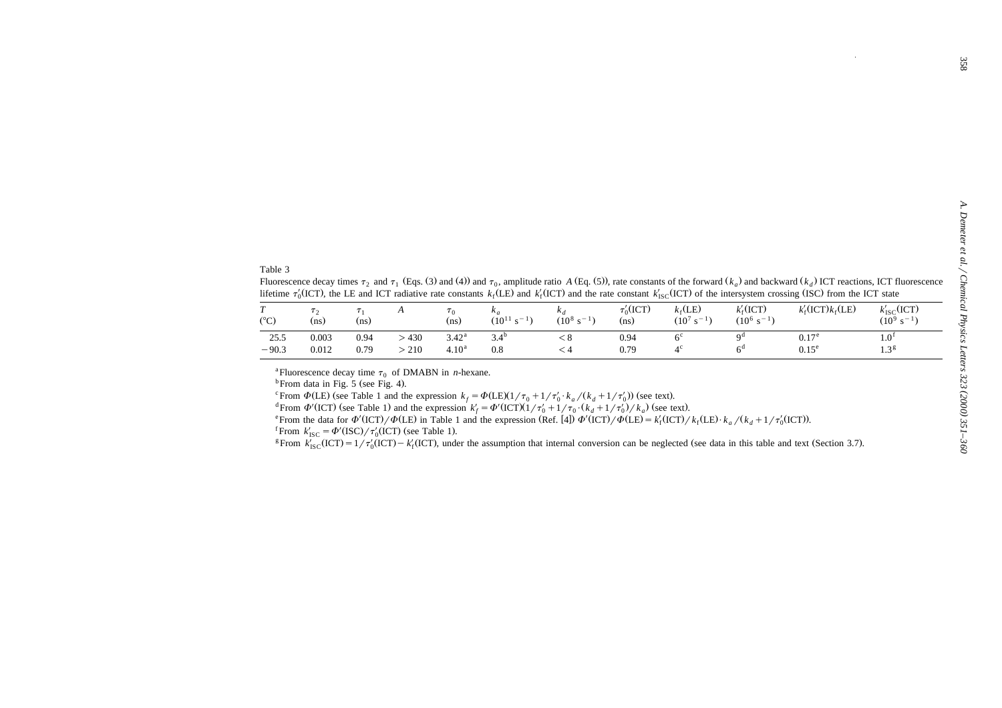|                                                               |                        |                      |               |                                                |                                                       |                                            |                       |                                                          |                                                             |                                                                                                                                                                                                                                                                                                                                                                                                                                                                | 358                                                                                                                                |
|---------------------------------------------------------------|------------------------|----------------------|---------------|------------------------------------------------|-------------------------------------------------------|--------------------------------------------|-----------------------|----------------------------------------------------------|-------------------------------------------------------------|----------------------------------------------------------------------------------------------------------------------------------------------------------------------------------------------------------------------------------------------------------------------------------------------------------------------------------------------------------------------------------------------------------------------------------------------------------------|------------------------------------------------------------------------------------------------------------------------------------|
|                                                               |                        |                      |               |                                                |                                                       |                                            |                       |                                                          |                                                             |                                                                                                                                                                                                                                                                                                                                                                                                                                                                |                                                                                                                                    |
|                                                               |                        |                      |               |                                                |                                                       |                                            |                       |                                                          |                                                             |                                                                                                                                                                                                                                                                                                                                                                                                                                                                |                                                                                                                                    |
|                                                               | $\tau$ <sub>2</sub>    | $\tau_1$             | A             | $\tau_0$                                       | $k_a$                                                 | $k_d$                                      | $\tau_0'(\text{ICT})$ | $k_{\rm f}$ (LE)                                         | $k_{\rm f}'({\rm ICT})$                                     | Fluorescence decay times $\tau_2$ and $\tau_1$ (Eqs. (3) and (4)) and $\tau_0$ , amplitude ratio A (Eq. (5)), rate constants of the forward ( $k_a$ ) and backward ( $k_a$ ) ICT reactions, ICT fluorescence<br>lifetime $\tau_0'$ (ICT), the LE and ICT radiative rate constants $k_f$ (LE) and $k'_f$ (ICT) and the rate constant $k'_{\text{ISC}}$ (ICT) of the intersystem crossing (ISC) from the ICT state<br>$k'_{\rm f}({\rm ICT})k_{\rm f}({\rm LE})$ | $k'_{\text{ISC}}(\text{ICT})$                                                                                                      |
| Table 3<br>$\overline{T}$<br>$(^{\circ}C)$<br>25.5<br>$-90.3$ | (ns)<br>0.003<br>0.012 | (ns)<br>0.94<br>0.79 | >430<br>> 210 | (ns)<br>3.42 <sup>a</sup><br>4.10 <sup>a</sup> | $(10^{11} \text{ s}^{-1})$<br>3.4 <sup>b</sup><br>0.8 | $(10^8 \text{ s}^{-1})$<br>< 8<br>$\leq 4$ | (ns)<br>0.94<br>0.79  | $(10^7 \text{ s}^{-1})$<br>6 <sup>c</sup><br>$4^{\circ}$ | $(10^6 \text{ s}^{-1})$<br>q <sup>d</sup><br>6 <sup>d</sup> | 0.17 <sup>e</sup><br>$0.15^e$                                                                                                                                                                                                                                                                                                                                                                                                                                  | A. Demeter et al. / Chemical Physics Letters 323 (2000) 351-360<br>$(10^9 \text{ s}^{-1})$<br>1.0 <sup>f</sup><br>1.3 <sup>g</sup> |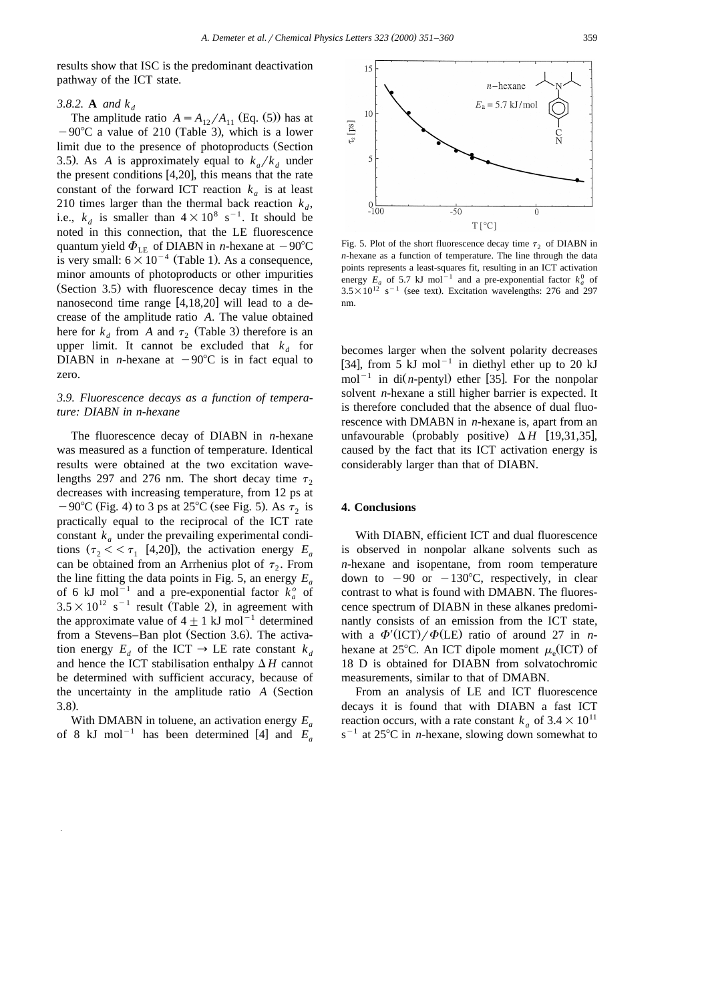results show that ISC is the predominant deactivation pathway of the ICT state.

#### *3.8.2.* **A** *and k <sup>d</sup>*

The amplitude ratio  $A = A_{12}/A_{11}$  (Eq. (5)) has at  $-90^{\circ}$ C a value of 210 (Table 3), which is a lower limit due to the presence of photoproducts (Section 3.5). As A is approximately equal to  $k_a/k_d$  under the present conditions  $[4,20]$ , this means that the rate constant of the forward ICT reaction  $k_a$  is at least 210 times larger than the thermal back reaction  $k_d$ , i.e.,  $k_d$  is smaller than  $4 \times 10^8$  s<sup>-1</sup>. It should be noted in this connection, that the LE fluorescence quantum yield  $\Phi_{LE}$  of DIABN in *n*-hexane at  $-90^{\circ}$ C is very small:  $6 \times 10^{-4}$  (Table 1). As a consequence, minor amounts of photoproducts or other impurities (Section 3.5) with fluorescence decay times in the nanosecond time range  $[4,18,20]$  will lead to a decrease of the amplitude ratio *A*. The value obtained here for  $k_d$  from *A* and  $\tau_2$  (Table 3) therefore is an upper limit. It cannot be excluded that  $k_d$  for DIABN in *n*-hexane at  $-90^{\circ}C$  is in fact equal to zero.

# *3.9. Fluorescence decays as a function of temperature: DIABN in n-hexane*

The fluorescence decay of DIABN in *n*-hexane was measured as a function of temperature. Identical results were obtained at the two excitation wavelengths 297 and 276 nm. The short decay time  $\tau$ , decreases with increasing temperature, from 12 ps at  $-90^{\circ}$ C (Fig. 4) to 3 ps at 25 $^{\circ}$ C (see Fig. 5). As  $\tau_2$  is practically equal to the reciprocal of the ICT rate constant  $k_a$  under the prevailing experimental conditions  $(\tau_2 < \tau_1$  [4,20]), the activation energy  $E_a$ can be obtained from an Arrhenius plot of  $\tau_2$ . From the line fitting the data points in Fig. 5, an energy  $E_a$ of 6 kJ mol<sup>-1</sup> and a pre-exponential factor  $k_a^o$  of  $3.5 \times 10^{12}$  s<sup>-1</sup> result (Table 2), in agreement with the approximate value of  $4 \pm 1$  kJ mol<sup>-1</sup> determined from a Stevens–Ban plot (Section 3.6). The activation energy  $E_d$  of the ICT  $\rightarrow$  LE rate constant  $k_d$ and hence the ICT stabilisation enthalpy  $\Delta H$  cannot be determined with sufficient accuracy, because of the uncertainty in the amplitude ratio *A* (Section  $3.8.$ 

With DMABN in toluene, an activation energy  $E_a$  of 8 kJ mol<sup>-1</sup> has been determined [4] and  $E_a$ 



Fig. 5. Plot of the short fluorescence decay time  $\tau_2$  of DIABN in *n*-hexane as a function of temperature. The line through the data points represents a least-squares fit, resulting in an ICT activation energy  $E_a$  of 5.7 kJ mol<sup>-1</sup> and a pre-exponential factor  $k_a^0$  of  $3.5\times10^{12}$  s<sup>-1</sup> (see text). Excitation wavelengths: 276 and 297 nm.

becomes larger when the solvent polarity decreases [34], from 5 kJ mol<sup>-1</sup> in diethyl ether up to 20 kJ mol<sup>-1</sup> in di $(n$ -pentyl) ether [35]. For the nonpolar solvent *n*-hexane a still higher barrier is expected. It is therefore concluded that the absence of dual fluorescence with DMABN in *n*-hexane is, apart from an unfavourable (probably positive)  $\Delta H$  [19,31,35], caused by the fact that its ICT activation energy is considerably larger than that of DIABN.

#### **4. Conclusions**

With DIABN, efficient ICT and dual fluorescence is observed in nonpolar alkane solvents such as *n*-hexane and isopentane, from room temperature down to  $-90$  or  $-130^{\circ}$ C, respectively, in clear contrast to what is found with DMABN. The fluorescence spectrum of DIABN in these alkanes predominantly consists of an emission from the ICT state, with a  $\Phi' (ICT) / \Phi (LE)$  ratio of around 27 in *n*hexane at 25°C. An ICT dipole moment  $\mu_{\circ}$  (ICT) of 18 D is obtained for DIABN from solvatochromic measurements, similar to that of DMABN.

From an analysis of LE and ICT fluorescence decays it is found that with DIABN a fast ICT reaction occurs, with a rate constant  $k_a$  of  $3.4 \times 10^{11}$  $s^{-1}$  at 25°C in *n*-hexane, slowing down somewhat to